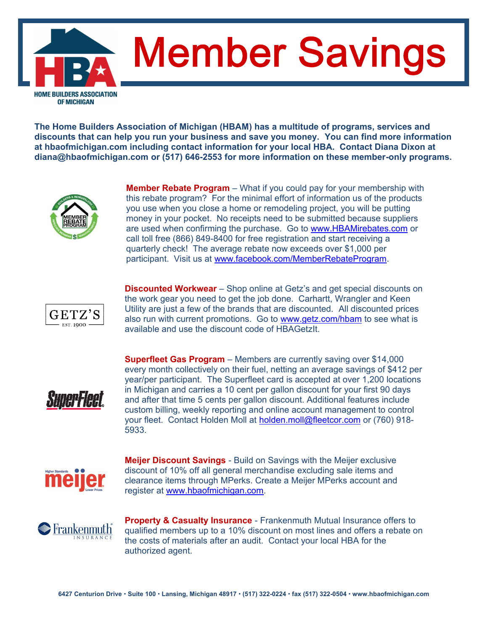**Member Savings** HOME BUILDERS ASSOCIATION **OF MICHIGAN** 

**The Home Builders Association of Michigan (HBAM) has a multitude of programs, services and discounts that can help you run your business and save you money. You can find more information at hbaofmichigan.com including contact information for your local HBA. Contact Diana Dixon at diana@hbaofmichigan.com or (517) 646-2553 for more information on these member-only programs.**



**Member Rebate Program** – What if you could pay for your membership with this rebate program? For the minimal effort of information us of the products you use when you close a home or remodeling project, you will be putting money in your pocket. No receipts need to be submitted because suppliers are used when confirming the purchase. Go to www.HBAMirebates.com or call toll free (866) 849-8400 for free registration and start receiving a quarterly check! The average rebate now exceeds over \$1,000 per participant. Visit us at www.facebook.com/MemberRebateProgram.



**Discounted Workwear** – Shop online at Getz's and get special discounts on the work gear you need to get the job done. Carhartt, Wrangler and Keen Utility are just a few of the brands that are discounted. All discounted prices also run with current promotions. Go to www.getz.com/hbam to see what is available and use the discount code of HBAGetzIt.



**Superfleet Gas Program** – Members are currently saving over \$14,000 every month collectively on their fuel, netting an average savings of \$412 per year/per participant. The Superfleet card is accepted at over 1,200 locations in Michigan and carries a 10 cent per gallon discount for your first 90 days and after that time 5 cents per gallon discount. Additional features include custom billing, weekly reporting and online account management to control your fleet. Contact Holden Moll at holden.moll@fleetcor.com or (760) 918- 5933.



**Meijer Discount Savings** - Build on Savings with the Meijer exclusive discount of 10% off all general merchandise excluding sale items and clearance items through MPerks. Create a Meijer MPerks account and register at www.hbaofmichigan.com.



**Property & Casualty Insurance** - Frankenmuth Mutual Insurance offers to qualified members up to a 10% discount on most lines and offers a rebate on the costs of materials after an audit. Contact your local HBA for the authorized agent.